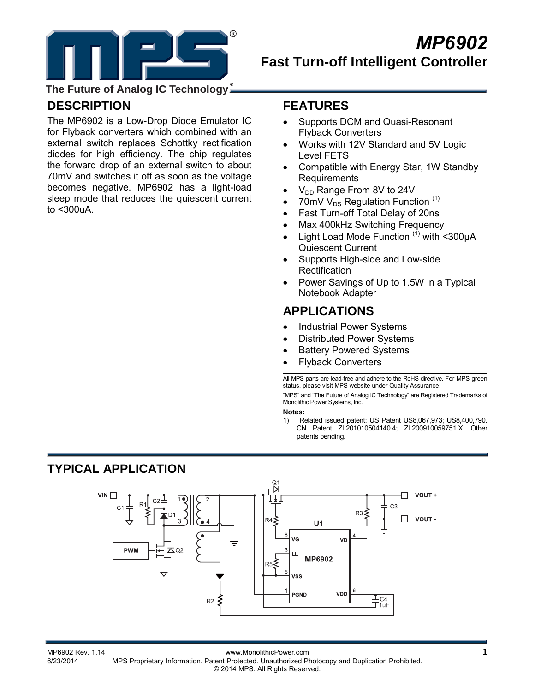

**The Future of Analog IC Technology**

## **DESCRIPTION**

The MP6902 is a Low-Drop Diode Emulator IC for Flyback converters which combined with an external switch replaces Schottky rectification diodes for high efficiency. The chip regulates the forward drop of an external switch to about 70mV and switches it off as soon as the voltage becomes negative. MP6902 has a light-load sleep mode that reduces the quiescent current to <300uA.

### **FEATURES**

- Supports DCM and Quasi-Resonant Flyback Converters
- Works with 12V Standard and 5V Logic Level FETS
- Compatible with Energy Star, 1W Standby **Requirements**
- V<sub>DD</sub> Range From 8V to 24V
- 70mV  $V_{DS}$  Regulation Function  $(1)$
- Fast Turn-off Total Delay of 20ns
- Max 400kHz Switching Frequency
- Light Load Mode Function  $(1)$  with <300uA Quiescent Current
- Supports High-side and Low-side **Rectification**
- Power Savings of Up to 1.5W in a Typical Notebook Adapter

## **APPLICATIONS**

- Industrial Power Systems
- Distributed Power Systems
- **Battery Powered Systems**
- Flyback Converters

All MPS parts are lead-free and adhere to the RoHS directive. For MPS green status, please visit MPS website under Quality Assurance.

"MPS" and "The Future of Analog IC Technology" are Registered Trademarks of Monolithic Power Systems, Inc.

#### **Notes:**

1) Related issued patent: US Patent US8,067,973; US8,400,790. CN Patent ZL201010504140.4; ZL200910059751.X. Other patents pending.

# **TYPICAL APPLICATION**



MP6902 Rev. 1.14 www.MonolithicPower.com<br>6/23/2014 MPS Proprietary Information Patent Protected Unauthorized Photocopy and Duplication Prohibited MPS Proprietary Information. Patent Protected. Unauthorized Photocopy and Duplication Prohibited. © 2014 MPS. All Rights Reserved.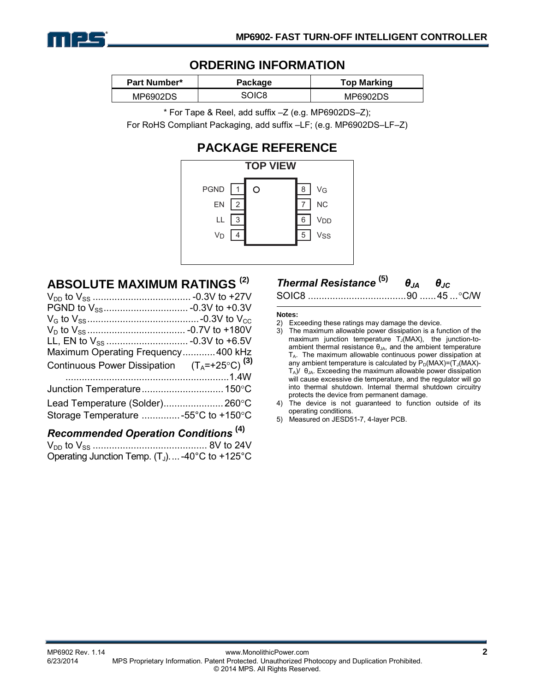

### **ORDERING INFORMATION**

| Part Number* | Package | <b>Top Marking</b> |  |  |
|--------------|---------|--------------------|--|--|
| MP6902DS     | SOIC8   | MP6902DS           |  |  |

\* For Tape & Reel, add suffix –Z (e.g. MP6902DS–Z);

For RoHS Compliant Packaging, add suffix –LF; (e.g. MP6902DS–LF–Z)

# **PACKAGE REFERENCE**



### **ABSOLUTE MAXIMUM RATINGS (2)**

| Maximum Operating Frequency400 kHz                        |  |
|-----------------------------------------------------------|--|
| Continuous Power Dissipation $(T_A = +25^{\circ}C)^{(3)}$ |  |
|                                                           |  |
| Junction Temperature 150°C                                |  |
| Lead Temperature (Solder) 260°C                           |  |
| Storage Temperature -55°C to +150°C                       |  |
| $\sim$ $\sim$ $\sim$ $\sim$ $\sim$ $(4)$                  |  |

#### *Recommended Operation Conditions* **(4)**

VDD to VSS .......................................... 8V to 24V Operating Junction Temp.  $(T_J)$ ....-40°C to +125°C

# *Thermal Resistance* **(5)** *θJA θJC*

SOIC8 .................................... 90 ...... 45 ... °C/W

#### **Notes:**

- 2) Exceeding these ratings may damage the device.
- 3) The maximum allowable power dissipation is a function of the maximum junction temperature  $T_J(MAX)$ , the junction-toambient thermal resistance  $\theta_{JA}$ , and the ambient temperature TA. The maximum allowable continuous power dissipation at any ambient temperature is calculated by  $P_D(MAX)=(T_J(MAX)-T_J(MAX)-T_J(MAX)-T_J(MAX)-T_J(MAX)$  $T_A$ )/  $\theta_{JA}$ . Exceeding the maximum allowable power dissipation will cause excessive die temperature, and the regulator will go into thermal shutdown. Internal thermal shutdown circuitry protects the device from permanent damage.
- 4) The device is not guaranteed to function outside of its operating conditions.
- 5) Measured on JESD51-7, 4-layer PCB.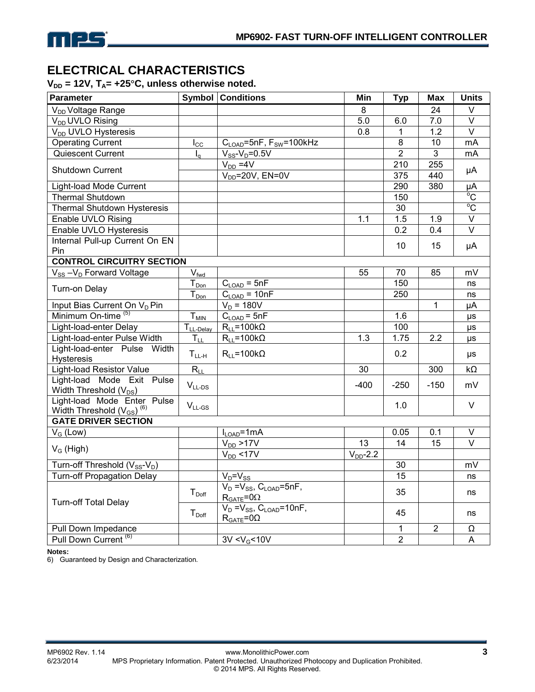

### **ELECTRICAL CHARACTERISTICS**

 $V_{DD}$  = 12V,  $T_A$ = +25°C, unless otherwise noted.

| Parameter                                                                        |                                               | <b>Symbol Conditions</b>                                    | Min           | <b>Typ</b>     | <b>Max</b>     | <b>Units</b>            |
|----------------------------------------------------------------------------------|-----------------------------------------------|-------------------------------------------------------------|---------------|----------------|----------------|-------------------------|
| V <sub>DD</sub> Voltage Range                                                    |                                               |                                                             | 8             |                | 24             | $\vee$                  |
| V <sub>DD</sub> UVLO Rising                                                      |                                               |                                                             | 5.0           | 6.0            | 7.0            | $\overline{\mathsf{v}}$ |
| V <sub>DD</sub> UVLO Hysteresis                                                  |                                               |                                                             | 0.8           | $\mathbf{1}$   | 1.2            | $\overline{\vee}$       |
| <b>Operating Current</b>                                                         | $I_{\rm CC}$                                  | $C_{\text{LOAD}}$ =5nF, F <sub>SW</sub> =100kHz             |               | 8              | 10             | mA                      |
| Quiescent Current                                                                | $I_{\alpha}$                                  | $V_{SS}$ - $V_D$ =0.5V                                      |               | $\overline{2}$ | 3              | mA                      |
|                                                                                  |                                               | $V_{DD} = 4V$                                               |               | 210            | 255            |                         |
| Shutdown Current                                                                 |                                               | $V_{DD} = 20V$ , EN=0V                                      |               | 375            | 440            | μA                      |
| Light-load Mode Current                                                          |                                               |                                                             |               | 290            | 380            | μA                      |
| <b>Thermal Shutdown</b>                                                          |                                               |                                                             |               | 150            |                | $\overline{C}$          |
| Thermal Shutdown Hysteresis                                                      |                                               |                                                             |               | 30             |                | $\overline{C}$          |
| Enable UVLO Rising                                                               |                                               |                                                             | 1.1           | 1.5            | 1.9            | $\overline{V}$          |
| Enable UVLO Hysteresis                                                           |                                               |                                                             |               | 0.2            | 0.4            | $\overline{\vee}$       |
| Internal Pull-up Current On EN                                                   |                                               |                                                             |               | 10             | 15             | μA                      |
| Pin                                                                              |                                               |                                                             |               |                |                |                         |
| <b>CONTROL CIRCUITRY SECTION</b>                                                 |                                               |                                                             |               |                |                |                         |
| $V_{SS} - V_D$ Forward Voltage                                                   | $V_{\text{fwd}}$                              |                                                             | 55            | 70             | 85             | mV                      |
| Turn-on Delay                                                                    | $T_{Don}$                                     | $C_{\text{LOAD}} = 5nF$                                     |               | 150            |                | ns                      |
|                                                                                  | $T_{Don}$                                     | $C_{LOAD} = 10nF$                                           |               | 250            |                | ns                      |
| Input Bias Current On V <sub>D</sub> Pin                                         |                                               | $V_D = 180V$                                                |               |                | 1              | μA                      |
| Minimum On-time <sup>(5)</sup>                                                   | $T_{M\underline{IN}}$                         | $C_{\text{LOAD}} = 5nF$                                     |               | 1.6            |                | μs                      |
| Light-load-enter Delay                                                           | T <sub>LL-Delay</sub>                         | $R_{11} = 100k\Omega$                                       |               | 100            |                | μs                      |
| Light-load-enter Pulse Width                                                     | $T_{LL}$                                      | $R_{LL} = 100k\Omega$                                       | 1.3           | 1.75           | 2.2            | $\mu s$                 |
| Light-load-enter Pulse Width<br><b>Hysteresis</b>                                | $T_{LL-H}$                                    | $R_{LL} = 100k\Omega$                                       |               | 0.2            |                | μs                      |
| <b>Light-load Resistor Value</b>                                                 | $R_{LL}$                                      |                                                             | 30            |                | 300            | $k\Omega$               |
| Light-load Mode Exit Pulse<br>Width Threshold (V <sub>DS</sub> )                 | $\mathsf{V}_{\mathsf{LL}\text{-}\mathsf{DS}}$ |                                                             | $-400$        | $-250$         | $-150$         | mV                      |
| Light-load Mode Enter Pulse<br>Width Threshold (V <sub>GS</sub> ) <sup>(6)</sup> | $V_{LL-GS}$                                   |                                                             |               | 1.0            |                | $\vee$                  |
| <b>GATE DRIVER SECTION</b>                                                       |                                               |                                                             |               |                |                |                         |
| $V_G$ (Low)                                                                      |                                               | $I_{LOAD}$ =1mA                                             |               | 0.05           | 0.1            | $\vee$                  |
| $V_G$ (High)                                                                     |                                               | $V_{DD}$ >17V                                               | 13            | 14             | 15             | $\overline{\vee}$       |
|                                                                                  |                                               | $V_{DD}$ <17V                                               | $V_{DD}$ -2.2 |                |                |                         |
| Turn-off Threshold (V <sub>SS</sub> -V <sub>D</sub> )                            |                                               |                                                             |               | 30             |                | mV                      |
| <b>Turn-off Propagation Delay</b>                                                |                                               | $V_D = V_{SS}$                                              |               | 15             |                | ns                      |
| <b>Turn-off Total Delay</b>                                                      | $T_{\text{Doff}}$                             | $V_D = V_{SS}$ , $C_{LOAD} = 5nF$ ,<br>$R_{GATE} = 0\Omega$ |               | 35             |                | ns                      |
|                                                                                  | $T_{\text{Doff}}$                             | $V_D = V_{SS}, C_{LOAD} = 10nF,$<br>$R_{GATE} = 0\Omega$    |               | 45             |                | ns                      |
| Pull Down Impedance                                                              |                                               |                                                             |               | $\mathbf{1}$   | $\overline{2}$ | Ω                       |
| Pull Down Current <sup>(6)</sup>                                                 |                                               | 3V < V <sub>G</sub> < 10V                                   |               | $\overline{2}$ |                | A                       |

**Notes:** 

6) Guaranteed by Design and Characterization.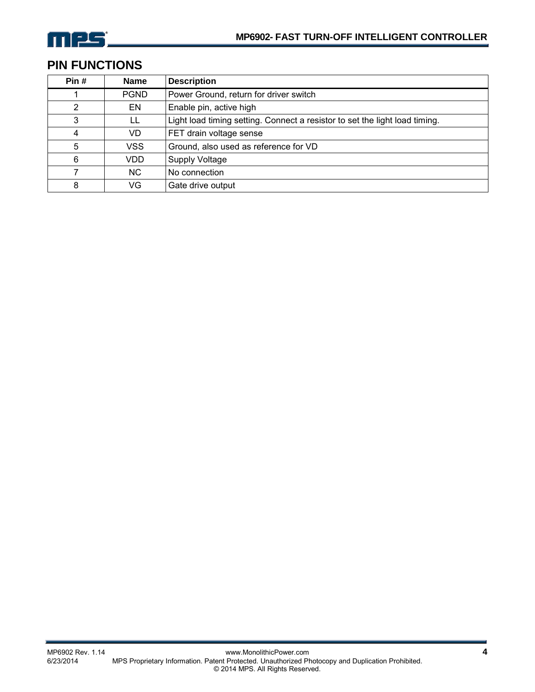

# **PIN FUNCTIONS**

| Pin# | <b>Name</b> | <b>Description</b>                                                          |
|------|-------------|-----------------------------------------------------------------------------|
|      | <b>PGND</b> | Power Ground, return for driver switch                                      |
| 2    | EN          | Enable pin, active high                                                     |
| 3    | LL          | Light load timing setting. Connect a resistor to set the light load timing. |
| 4    | VD.         | FET drain voltage sense                                                     |
| 5    | <b>VSS</b>  | Ground, also used as reference for VD                                       |
| 6    | VDD         | <b>Supply Voltage</b>                                                       |
|      | NC.         | No connection                                                               |
| 8    | VG          | Gate drive output                                                           |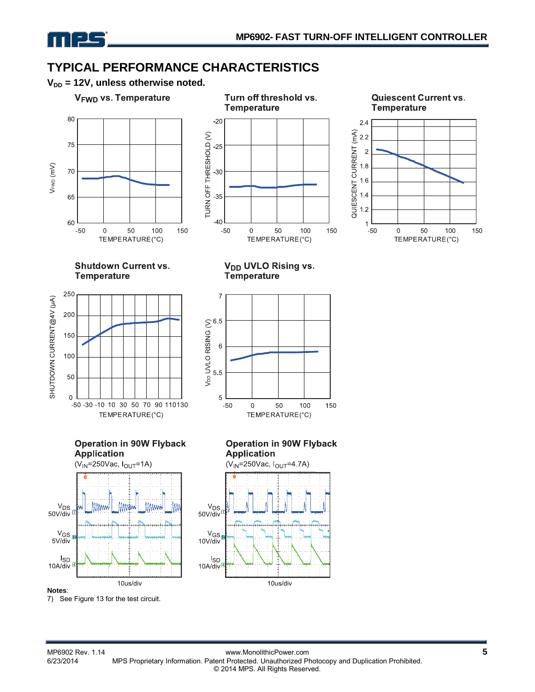

# **TYPICAL PERFORMANCE CHARACTERISTICS**

 $V_{DD}$  = 12V, unless otherwise noted.

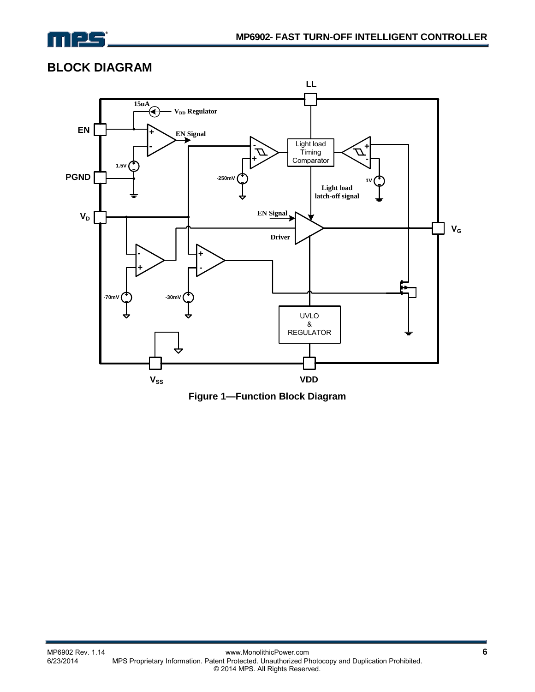

### **BLOCK DIAGRAM**



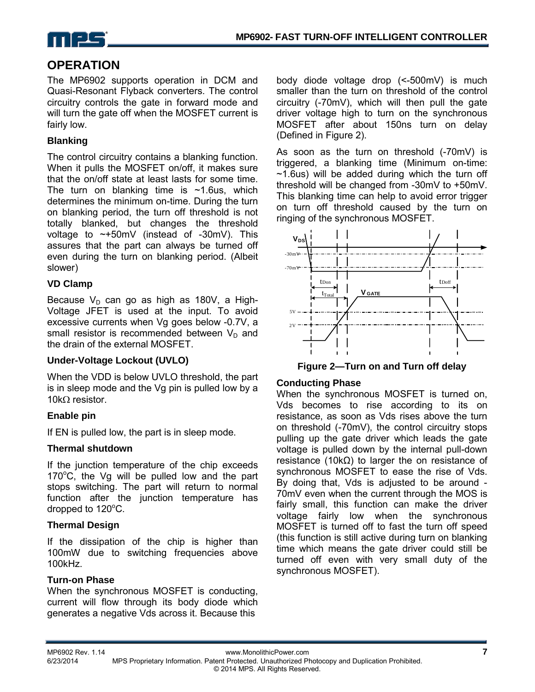

### **OPERATION**

The MP6902 supports operation in DCM and Quasi-Resonant Flyback converters. The control circuitry controls the gate in forward mode and will turn the gate off when the MOSFET current is fairly low.

### **Blanking**

The control circuitry contains a blanking function. When it pulls the MOSFET on/off, it makes sure that the on/off state at least lasts for some time. The turn on blanking time is  $\sim$ 1.6us, which determines the minimum on-time. During the turn on blanking period, the turn off threshold is not totally blanked, but changes the threshold voltage to  $\sim +50$ mV (instead of -30mV). This assures that the part can always be turned off even during the turn on blanking period. (Albeit slower)

### **VD Clamp**

Because  $V_D$  can go as high as 180V, a High-Voltage JFET is used at the input. To avoid excessive currents when Vg goes below -0.7V, a small resistor is recommended between  $V_D$  and the drain of the external MOSFET.

#### **Under-Voltage Lockout (UVLO)**

When the VDD is below UVLO threshold, the part is in sleep mode and the Vg pin is pulled low by a 10kΩ resistor.

#### **Enable pin**

If EN is pulled low, the part is in sleep mode.

#### **Thermal shutdown**

If the junction temperature of the chip exceeds 170°C, the Vg will be pulled low and the part stops switching. The part will return to normal function after the junction temperature has dropped to  $120^{\circ}$ C.

#### **Thermal Design**

If the dissipation of the chip is higher than 100mW due to switching frequencies above 100kHz.

#### **Turn-on Phase**

When the synchronous MOSFET is conducting, current will flow through its body diode which generates a negative Vds across it. Because this

body diode voltage drop (<-500mV) is much smaller than the turn on threshold of the control circuitry (-70mV), which will then pull the gate driver voltage high to turn on the synchronous MOSFET after about 150ns turn on delay (Defined in Figure 2).

As soon as the turn on threshold (-70mV) is triggered, a blanking time (Minimum on-time:  $\sim$ 1.6us) will be added during which the turn off threshold will be changed from -30mV to +50mV. This blanking time can help to avoid error trigger on turn off threshold caused by the turn on ringing of the synchronous MOSFET.



**Figure 2—Turn on and Turn off delay** 

#### **Conducting Phase**

When the synchronous MOSFET is turned on, Vds becomes to rise according to its on resistance, as soon as Vds rises above the turn on threshold (-70mV), the control circuitry stops pulling up the gate driver which leads the gate voltage is pulled down by the internal pull-down resistance (10kΩ) to larger the on resistance of synchronous MOSFET to ease the rise of Vds. By doing that, Vds is adjusted to be around - 70mV even when the current through the MOS is fairly small, this function can make the driver voltage fairly low when the synchronous MOSFET is turned off to fast the turn off speed (this function is still active during turn on blanking time which means the gate driver could still be turned off even with very small duty of the synchronous MOSFET).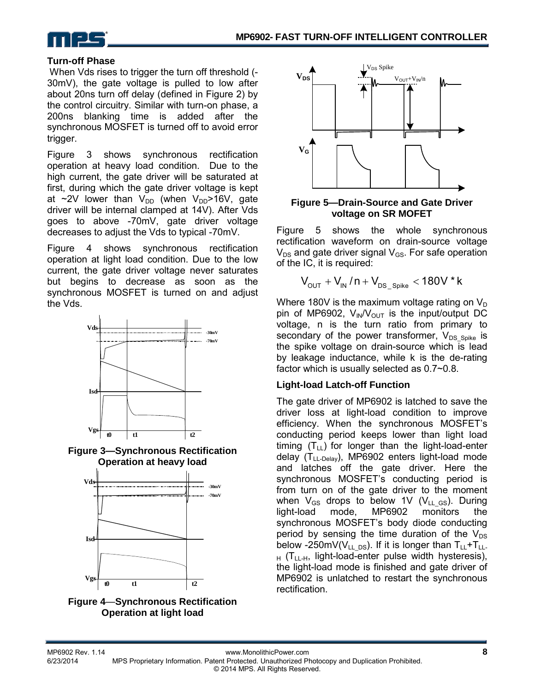

#### **Turn-off Phase**

 When Vds rises to trigger the turn off threshold (- 30mV), the gate voltage is pulled to low after about 20ns turn off delay (defined in Figure 2) by the control circuitry. Similar with turn-on phase, a 200ns blanking time is added after the synchronous MOSFET is turned off to avoid error trigger.

Figure 3 shows synchronous rectification operation at heavy load condition. Due to the high current, the gate driver will be saturated at first, during which the gate driver voltage is kept at  $\sim$ 2V lower than V<sub>DD</sub> (when V<sub>DD</sub>>16V, gate driver will be internal clamped at 14V). After Vds goes to above -70mV, gate driver voltage decreases to adjust the Vds to typical -70mV.

Figure 4 shows synchronous rectification operation at light load condition. Due to the low current, the gate driver voltage never saturates but begins to decrease as soon as the synchronous MOSFET is turned on and adjust the Vds.



**Figure 3—Synchronous Rectification Operation at heavy load** 







**Figure 5—Drain-Source and Gate Driver voltage on SR MOFET**

Figure 5 shows the whole synchronous rectification waveform on drain-source voltage  $V_{DS}$  and gate driver signal  $V_{GS}$ . For safe operation of the IC, it is required:

$$
V_{\text{OUT}} + V_{\text{IN}} / n + V_{\text{DS\_Spike}} < 180V * k
$$

Where 180V is the maximum voltage rating on  $V_D$ pin of MP6902,  $V_{IN}/V_{OUT}$  is the input/output DC voltage, n is the turn ratio from primary to secondary of the power transformer,  $V_{DS-Spike}$  is the spike voltage on drain-source which is lead by leakage inductance, while k is the de-rating factor which is usually selected as 0.7~0.8.

#### **Light-load Latch-off Function**

The gate driver of MP6902 is latched to save the driver loss at light-load condition to improve efficiency. When the synchronous MOSFET's conducting period keeps lower than light load timing  $(T_{LL})$  for longer than the light-load-enter delay  $(T_{LL-Delay})$ , MP6902 enters light-load mode and latches off the gate driver. Here the synchronous MOSFET's conducting period is from turn on of the gate driver to the moment when  $V_{GS}$  drops to below 1V ( $V_{LL}$  GS). During light-load mode, MP6902 monitors the synchronous MOSFET's body diode conducting period by sensing the time duration of the  $V_{DS}$ below -250mV( $V_{LL-DS}$ ). If it is longer than  $T_{LL}+T_{LL}$ - $_{H}$  (T<sub>LL-H</sub>, light-load-enter pulse width hysteresis), the light-load mode is finished and gate driver of MP6902 is unlatched to restart the synchronous rectification.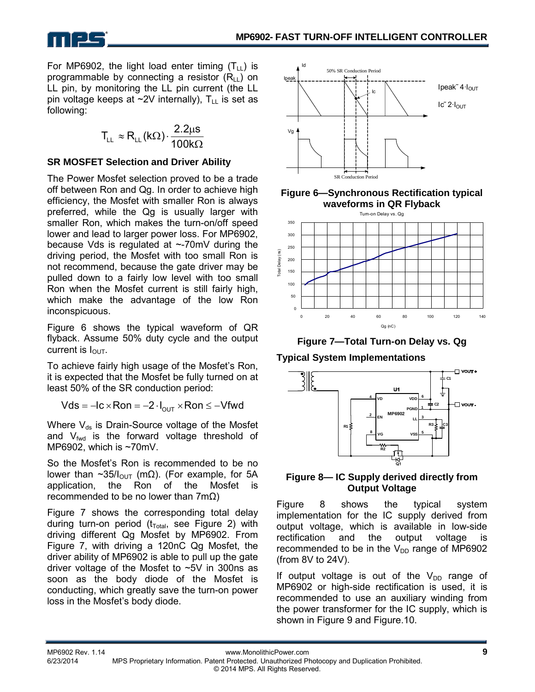For MP6902, the light load enter timing  $(T_{\text{H}})$  is

programmable by connecting a resistor  $(R<sub>II</sub>)$  on LL pin, by monitoring the LL pin current (the LL pin voltage keeps at  $\sim$ 2V internally),  $T_{LL}$  is set as following:

$$
T_{LL} \approx R_{LL} (k\Omega) \cdot \frac{2.2 \mu s}{100 k\Omega}
$$

### **SR MOSFET Selection and Driver Ability**

The Power Mosfet selection proved to be a trade off between Ron and Qg. In order to achieve high efficiency, the Mosfet with smaller Ron is always preferred, while the Qg is usually larger with smaller Ron, which makes the turn-on/off speed lower and lead to larger power loss. For MP6902, because Vds is regulated at ~-70mV during the driving period, the Mosfet with too small Ron is not recommend, because the gate driver may be pulled down to a fairly low level with too small Ron when the Mosfet current is still fairly high, which make the advantage of the low Ron inconspicuous.

Figure 6 shows the typical waveform of QR flyback. Assume 50% duty cycle and the output current is  $I_{\text{OUT}}$ .

To achieve fairly high usage of the Mosfet's Ron, it is expected that the Mosfet be fully turned on at least 50% of the SR conduction period:

 $Vds = -lc \times Ron = -2 \cdot I_{\text{out}} \times Ron \le -Vfwd$ 

Where  $V_{ds}$  is Drain-Source voltage of the Mosfet and  $V_{fwd}$  is the forward voltage threshold of MP6902, which is ~70mV.

So the Mosfet's Ron is recommended to be no lower than ~35/ $I_{\text{OUT}}$  (mΩ). (For example, for 5A application, the Ron of the Mosfet is recommended to be no lower than 7mΩ)

Figure 7 shows the corresponding total delay during turn-on period ( $t_{Total}$ , see Figure 2) with driving different Qg Mosfet by MP6902. From Figure 7, with driving a 120nC Qg Mosfet, the driver ability of MP6902 is able to pull up the gate driver voltage of the Mosfet to ~5V in 300ns as soon as the body diode of the Mosfet is conducting, which greatly save the turn-on power loss in the Mosfet's body diode.



**Figure 6—Synchronous Rectification typical waveforms in QR Flyback**



**Figure 7—Total Turn-on Delay vs. Qg** 

**Typical System Implementations** 



#### **Figure 8— IC Supply derived directly from Output Voltage**

Figure 8 shows the typical system implementation for the IC supply derived from output voltage, which is available in low-side rectification and the output voltage is recommended to be in the  $V_{DD}$  range of MP6902 (from 8V to 24V).

If output voltage is out of the  $V_{DD}$  range of MP6902 or high-side rectification is used, it is recommended to use an auxiliary winding from the power transformer for the IC supply, which is shown in Figure 9 and Figure.10.

MPS Proprietary Information. Patent Protected. Unauthorized Photocopy and Duplication Prohibited.

© 2014 MPS. All Rights Reserved.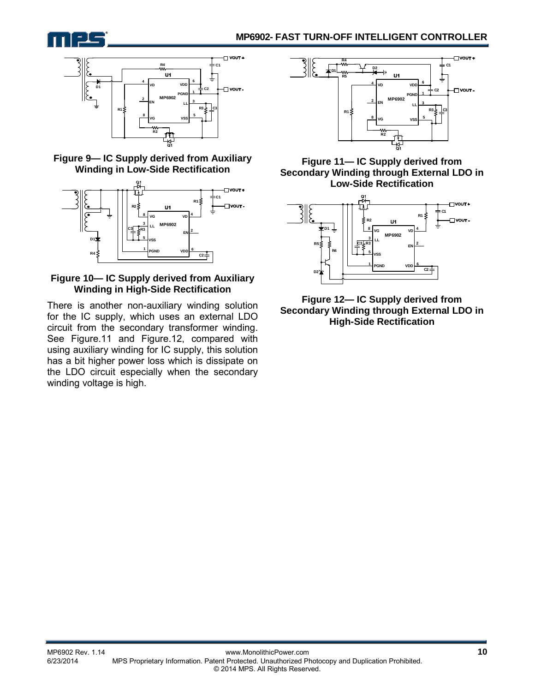



**Figure 9— IC Supply derived from Auxiliary Winding in Low-Side Rectification** 



#### **Figure 10— IC Supply derived from Auxiliary Winding in High-Side Rectification**

There is another non-auxiliary winding solution for the IC supply, which uses an external LDO circuit from the secondary transformer winding. See Figure.11 and Figure.12, compared with using auxiliary winding for IC supply, this solution has a bit higher power loss which is dissipate on the LDO circuit especially when the secondary winding voltage is high.



**Figure 11— IC Supply derived from Secondary Winding through External LDO in Low-Side Rectification** 



**Figure 12— IC Supply derived from Secondary Winding through External LDO in High-Side Rectification**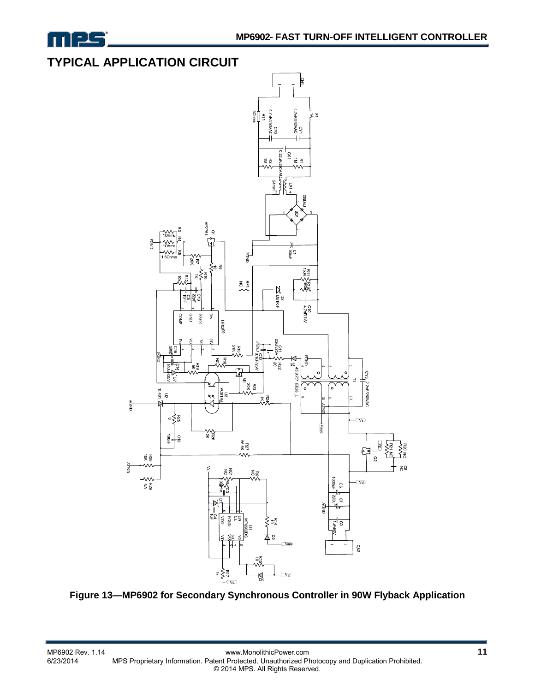

## **TYPICAL APPLICATION CIRCUIT**



**Figure 13—MP6902 for Secondary Synchronous Controller in 90W Flyback Application**